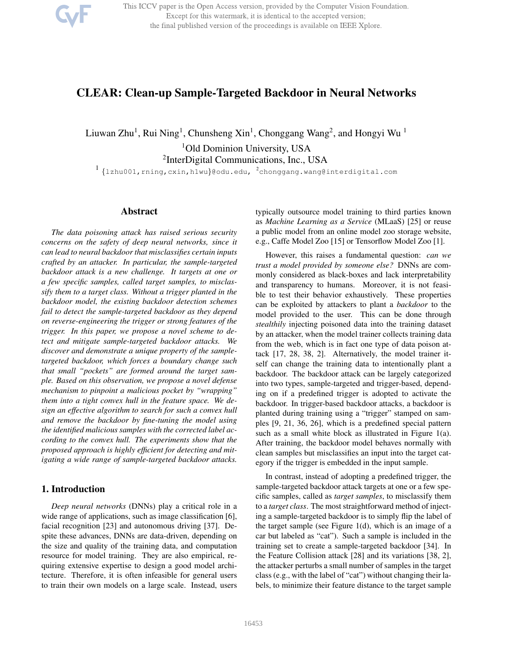This ICCV paper is the Open Access version, provided by the Computer Vision Foundation. Except for this watermark, it is identical to the accepted version; the final published version of the proceedings is available on IEEE Xplore.

# CLEAR: Clean-up Sample-Targeted Backdoor in Neural Networks

Liuwan Zhu<sup>1</sup>, Rui Ning<sup>1</sup>, Chunsheng Xin<sup>1</sup>, Chonggang Wang<sup>2</sup>, and Hongyi Wu<sup>1</sup> <sup>1</sup>Old Dominion University, USA <sup>2</sup>InterDigital Communications, Inc., USA

1<br>1 {1zhu001, rning, cxin, h1wu}@odu.edu, <sup>2</sup>chonggang.wang@interdigital.com

### Abstract

*The data poisoning attack has raised serious security concerns on the safety of deep neural networks, since it can lead to neural backdoor that misclassifies certain inputs crafted by an attacker. In particular, the sample-targeted backdoor attack is a new challenge. It targets at one or a few specific samples, called target samples, to misclassify them to a target class. Without a trigger planted in the backdoor model, the existing backdoor detection schemes fail to detect the sample-targeted backdoor as they depend on reverse-engineering the trigger or strong features of the trigger. In this paper, we propose a novel scheme to detect and mitigate sample-targeted backdoor attacks. We discover and demonstrate a unique property of the sampletargeted backdoor, which forces a boundary change such that small "pockets" are formed around the target sample. Based on this observation, we propose a novel defense mechanism to pinpoint a malicious pocket by "wrapping" them into a tight convex hull in the feature space. We design an effective algorithm to search for such a convex hull and remove the backdoor by fine-tuning the model using the identified malicious samples with the corrected label according to the convex hull. The experiments show that the proposed approach is highly efficient for detecting and mitigating a wide range of sample-targeted backdoor attacks.*

### 1. Introduction

*Deep neural networks* (DNNs) play a critical role in a wide range of applications, such as image classification [6], facial recognition [23] and autonomous driving [37]. Despite these advances, DNNs are data-driven, depending on the size and quality of the training data, and computation resource for model training. They are also empirical, requiring extensive expertise to design a good model architecture. Therefore, it is often infeasible for general users to train their own models on a large scale. Instead, users

typically outsource model training to third parties known as *Machine Learning as a Service* (MLaaS) [25] or reuse a public model from an online model zoo storage website, e.g., Caffe Model Zoo [15] or Tensorflow Model Zoo [1].

However, this raises a fundamental question: *can we trust a model provided by someone else?* DNNs are commonly considered as black-boxes and lack interpretability and transparency to humans. Moreover, it is not feasible to test their behavior exhaustively. These properties can be exploited by attackers to plant a *backdoor* to the model provided to the user. This can be done through *stealthily* injecting poisoned data into the training dataset by an attacker, when the model trainer collects training data from the web, which is in fact one type of data poison attack [17, 28, 38, 2]. Alternatively, the model trainer itself can change the training data to intentionally plant a backdoor. The backdoor attack can be largely categorized into two types, sample-targeted and trigger-based, depending on if a predefined trigger is adopted to activate the backdoor. In trigger-based backdoor attacks, a backdoor is planted during training using a "trigger" stamped on samples [9, 21, 36, 26], which is a predefined special pattern such as a small white block as illustrated in Figure 1(a). After training, the backdoor model behaves normally with clean samples but misclassifies an input into the target category if the trigger is embedded in the input sample.

In contrast, instead of adopting a predefined trigger, the sample-targeted backdoor attack targets at one or a few specific samples, called as *target samples*, to misclassify them to a *target class*. The most straightforward method of injecting a sample-targeted backdoor is to simply flip the label of the target sample (see Figure 1(d), which is an image of a car but labeled as "cat"). Such a sample is included in the training set to create a sample-targeted backdoor [34]. In the Feature Collision attack [28] and its variations [38, 2], the attacker perturbs a small number of samples in the target class (e.g., with the label of "cat") without changing their labels, to minimize their feature distance to the target sample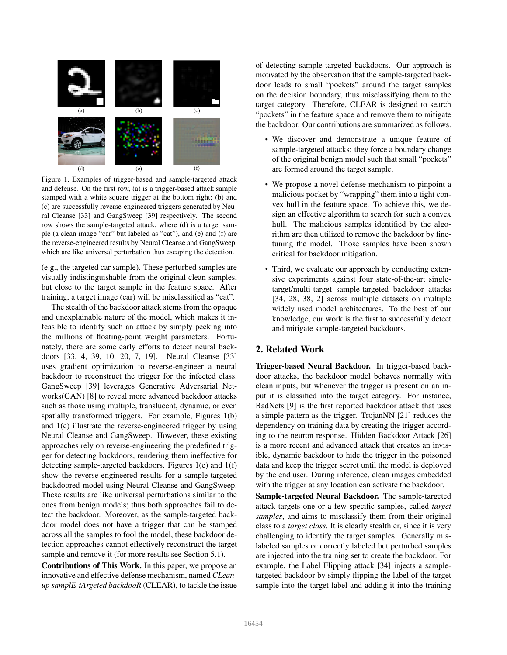

Figure 1. Examples of trigger-based and sample-targeted attack and defense. On the first row, (a) is a trigger-based attack sample stamped with a white square trigger at the bottom right; (b) and (c) are successfully reverse-engineered triggers generated by Neural Cleanse [33] and GangSweep [39] respectively. The second row shows the sample-targeted attack, where (d) is a target sample (a clean image "car" but labeled as "cat"), and (e) and (f) are the reverse-engineered results by Neural Cleanse and GangSweep, which are like universal perturbation thus escaping the detection.

(e.g., the targeted car sample). These perturbed samples are visually indistinguishable from the original clean samples, but close to the target sample in the feature space. After training, a target image (car) will be misclassified as "cat".

The stealth of the backdoor attack stems from the opaque and unexplainable nature of the model, which makes it infeasible to identify such an attack by simply peeking into the millions of floating-point weight parameters. Fortunately, there are some early efforts to detect neural backdoors [33, 4, 39, 10, 20, 7, 19]. Neural Cleanse [33] uses gradient optimization to reverse-engineer a neural backdoor to reconstruct the trigger for the infected class. GangSweep [39] leverages Generative Adversarial Networks(GAN) [8] to reveal more advanced backdoor attacks such as those using multiple, translucent, dynamic, or even spatially transformed triggers. For example, Figures 1(b) and 1(c) illustrate the reverse-engineered trigger by using Neural Cleanse and GangSweep. However, these existing approaches rely on reverse-engineering the predefined trigger for detecting backdoors, rendering them ineffective for detecting sample-targeted backdoors. Figures 1(e) and 1(f) show the reverse-engineered results for a sample-targeted backdoored model using Neural Cleanse and GangSweep. These results are like universal perturbations similar to the ones from benign models; thus both approaches fail to detect the backdoor. Moreover, as the sample-targeted backdoor model does not have a trigger that can be stamped across all the samples to fool the model, these backdoor detection approaches cannot effectively reconstruct the target sample and remove it (for more results see Section 5.1).

Contributions of This Work. In this paper, we propose an innovative and effective defense mechanism, named *CLeanup samplE-tArgeted backdooR* (CLEAR), to tackle the issue of detecting sample-targeted backdoors. Our approach is motivated by the observation that the sample-targeted backdoor leads to small "pockets" around the target samples on the decision boundary, thus misclassifying them to the target category. Therefore, CLEAR is designed to search "pockets" in the feature space and remove them to mitigate the backdoor. Our contributions are summarized as follows.

- We discover and demonstrate a unique feature of sample-targeted attacks: they force a boundary change of the original benign model such that small "pockets" are formed around the target sample.
- We propose a novel defense mechanism to pinpoint a malicious pocket by "wrapping" them into a tight convex hull in the feature space. To achieve this, we design an effective algorithm to search for such a convex hull. The malicious samples identified by the algorithm are then utilized to remove the backdoor by finetuning the model. Those samples have been shown critical for backdoor mitigation.
- Third, we evaluate our approach by conducting extensive experiments against four state-of-the-art singletarget/multi-target sample-targeted backdoor attacks [34, 28, 38, 2] across multiple datasets on multiple widely used model architectures. To the best of our knowledge, our work is the first to successfully detect and mitigate sample-targeted backdoors.

## 2. Related Work

Trigger-based Neural Backdoor. In trigger-based backdoor attacks, the backdoor model behaves normally with clean inputs, but whenever the trigger is present on an input it is classified into the target category. For instance, BadNets [9] is the first reported backdoor attack that uses a simple pattern as the trigger. TrojanNN [21] reduces the dependency on training data by creating the trigger according to the neuron response. Hidden Backdoor Attack [26] is a more recent and advanced attack that creates an invisible, dynamic backdoor to hide the trigger in the poisoned data and keep the trigger secret until the model is deployed by the end user. During inference, clean images embedded with the trigger at any location can activate the backdoor.

Sample-targeted Neural Backdoor. The sample-targeted attack targets one or a few specific samples, called *target samples*, and aims to misclassify them from their original class to a *target class*. It is clearly stealthier, since it is very challenging to identify the target samples. Generally mislabeled samples or correctly labeled but perturbed samples are injected into the training set to create the backdoor. For example, the Label Flipping attack [34] injects a sampletargeted backdoor by simply flipping the label of the target sample into the target label and adding it into the training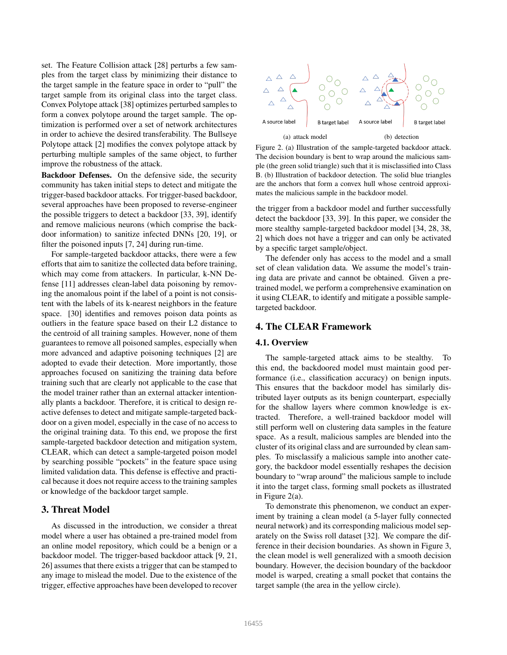set. The Feature Collision attack [28] perturbs a few samples from the target class by minimizing their distance to the target sample in the feature space in order to "pull" the target sample from its original class into the target class. Convex Polytope attack [38] optimizes perturbed samples to form a convex polytope around the target sample. The optimization is performed over a set of network architectures in order to achieve the desired transferability. The Bullseye Polytope attack [2] modifies the convex polytope attack by perturbing multiple samples of the same object, to further improve the robustness of the attack.

Backdoor Defenses. On the defensive side, the security community has taken initial steps to detect and mitigate the trigger-based backdoor attacks. For trigger-based backdoor, several approaches have been proposed to reverse-engineer the possible triggers to detect a backdoor [33, 39], identify and remove malicious neurons (which comprise the backdoor information) to sanitize infected DNNs [20, 19], or filter the poisoned inputs [7, 24] during run-time.

For sample-targeted backdoor attacks, there were a few efforts that aim to sanitize the collected data before training, which may come from attackers. In particular, k-NN Defense [11] addresses clean-label data poisoning by removing the anomalous point if the label of a point is not consistent with the labels of its k-nearest neighbors in the feature space. [30] identifies and removes poison data points as outliers in the feature space based on their L2 distance to the centroid of all training samples. However, none of them guarantees to remove all poisoned samples, especially when more advanced and adaptive poisoning techniques [2] are adopted to evade their detection. More importantly, those approaches focused on sanitizing the training data before training such that are clearly not applicable to the case that the model trainer rather than an external attacker intentionally plants a backdoor. Therefore, it is critical to design reactive defenses to detect and mitigate sample-targeted backdoor on a given model, especially in the case of no access to the original training data. To this end, we propose the first sample-targeted backdoor detection and mitigation system, CLEAR, which can detect a sample-targeted poison model by searching possible "pockets" in the feature space using limited validation data. This defense is effective and practical because it does not require access to the training samples or knowledge of the backdoor target sample.

## 3. Threat Model

As discussed in the introduction, we consider a threat model where a user has obtained a pre-trained model from an online model repository, which could be a benign or a backdoor model. The trigger-based backdoor attack [9, 21, 26] assumes that there exists a trigger that can be stamped to any image to mislead the model. Due to the existence of the trigger, effective approaches have been developed to recover



Figure 2. (a) Illustration of the sample-targeted backdoor attack. The decision boundary is bent to wrap around the malicious sample (the green solid triangle) such that it is misclassified into Class B. (b) Illustration of backdoor detection. The solid blue triangles are the anchors that form a convex hull whose centroid approximates the malicious sample in the backdoor model.

the trigger from a backdoor model and further successfully detect the backdoor [33, 39]. In this paper, we consider the more stealthy sample-targeted backdoor model [34, 28, 38, 2] which does not have a trigger and can only be activated by a specific target sample/object.

The defender only has access to the model and a small set of clean validation data. We assume the model's training data are private and cannot be obtained. Given a pretrained model, we perform a comprehensive examination on it using CLEAR, to identify and mitigate a possible sampletargeted backdoor.

## 4. The CLEAR Framework

#### 4.1. Overview

The sample-targeted attack aims to be stealthy. this end, the backdoored model must maintain good performance (i.e., classification accuracy) on benign inputs. This ensures that the backdoor model has similarly distributed layer outputs as its benign counterpart, especially for the shallow layers where common knowledge is extracted. Therefore, a well-trained backdoor model will still perform well on clustering data samples in the feature space. As a result, malicious samples are blended into the cluster of its original class and are surrounded by clean samples. To misclassify a malicious sample into another category, the backdoor model essentially reshapes the decision boundary to "wrap around" the malicious sample to include it into the target class, forming small pockets as illustrated in Figure 2(a).

To demonstrate this phenomenon, we conduct an experiment by training a clean model (a 5-layer fully connected neural network) and its corresponding malicious model separately on the Swiss roll dataset [32]. We compare the difference in their decision boundaries. As shown in Figure 3, the clean model is well generalized with a smooth decision boundary. However, the decision boundary of the backdoor model is warped, creating a small pocket that contains the target sample (the area in the yellow circle).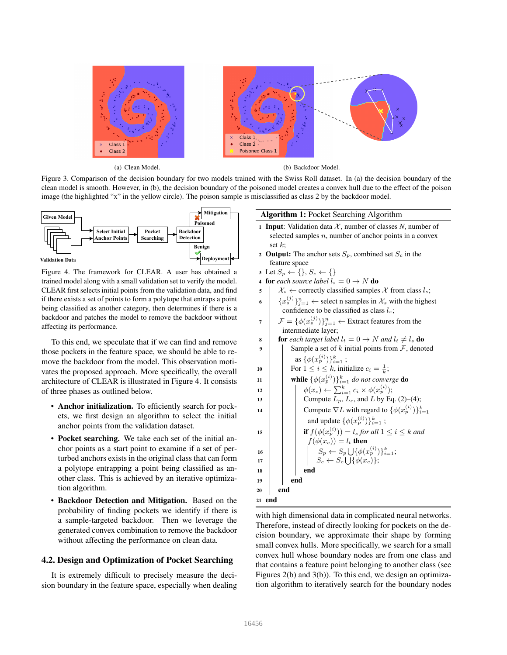

(a) Clean Model. (b) Backdoor Model.

Figure 3. Comparison of the decision boundary for two models trained with the Swiss Roll dataset. In (a) the decision boundary of the clean model is smooth. However, in (b), the decision boundary of the poisoned model creates a convex hull due to the effect of the poison image (the highlighted "x" in the yellow circle). The poison sample is misclassified as class 2 by the backdoor model.



Figure 4. The framework for CLEAR. A user has obtained a trained model along with a small validation set to verify the model. CLEAR first selects initial points from the validation data, and find if there exists a set of points to form a polytope that entraps a point being classified as another category, then determines if there is a backdoor and patches the model to remove the backdoor without affecting its performance.

To this end, we speculate that if we can find and remove those pockets in the feature space, we should be able to remove the backdoor from the model. This observation motivates the proposed approach. More specifically, the overall architecture of CLEAR is illustrated in Figure 4. It consists of three phases as outlined below.

- Anchor initialization. To efficiently search for pockets, we first design an algorithm to select the initial anchor points from the validation dataset.
- Pocket searching. We take each set of the initial anchor points as a start point to examine if a set of perturbed anchors exists in the original class that can form a polytope entrapping a point being classified as another class. This is achieved by an iterative optimization algorithm.
- Backdoor Detection and Mitigation. Based on the probability of finding pockets we identify if there is a sample-targeted backdoor. Then we leverage the generated convex combination to remove the backdoor without affecting the performance on clean data.

## 4.2. Design and Optimization of Pocket Searching

It is extremely difficult to precisely measure the decision boundary in the feature space, especially when dealing

## Algorithm 1: Pocket Searching Algorithm

- 1 Input: Validation data  $X$ , number of classes N, number of selected samples  $n$ , number of anchor points in a convex set  $k$ :
- 2 Output: The anchor sets  $S_p$ , combined set  $S_c$  in the feature space
- 3 Let  $S_p \leftarrow \{\}, S_c \leftarrow \{\}$
- 4 **for** each source label  $l_s = 0 \rightarrow N$  **do**
- 5  $\mathcal{X}_s \leftarrow$  correctly classified samples X from class  $l_s$ ;
- $\{x_s^{(j)}\}_{j=1}^n \leftarrow$  select n samples in  $\mathcal{X}_s$  with the highest confidence to be classified as class  $l_s$ ;
- $\mathcal{F} = \{ \phi(x_s^{(j)}) \}_{j=1}^n \leftarrow$  Extract features from the intermediate layer;
- 8 **for** each target label  $l_t = 0 \rightarrow N$  and  $l_t \neq l_s$  do 9 | Sample a set of k initial points from  $\mathcal{F}$ , denoted as  $\{\phi(x_p^{(i)})\}_{i=1}^k$  ; 10 | For  $1 \leq i \leq k$ , initialize  $c_i = \frac{1}{k}$ ; 10  $\left\{\n\begin{array}{c}\n1 & \text{if } i \leq i \leq n, \text{ } \text{if } i \neq i \neq j, \\
\text{while } \{\phi(x_p^{(i)})\}_{i=1}^k \text{ do not converge do}\n\end{array}\n\right\}$ 12  $\phi(x_c) \leftarrow \sum_{i=1}^k c_i \times \phi(x_p^{(i)})$ ; 13 **Compute**  $L_p$ ,  $L_c$ , and  $L$  by Eq. (2)–(4); 14 Compute  $\nabla L$  with regard to  $\{\phi(x_p^{(i)})\}_{i=1}^k$ and update  $\{\phi(x_p^{(i)})\}_{i=1}^k$ ; 15 **if**  $f(\phi(x_p^{(i)})) = l_s$  *for all*  $1 \leq i \leq k$  *and*  $f(\phi(x_c)) = l_t$  then 16  $\Big|\qquad\Big|\qquad\Big|\qquad S_p\leftarrow S_p\bigcup\{\phi(x_p^{(i)})\}_{i=1}^k;$ 17  $\vert$   $\vert$   $\vert$   $\vert$   $S_c \leftarrow S_c \cup \{\phi(x_c)\};$  $18$  end 19 end <sup>20</sup> end <sup>21</sup> end

with high dimensional data in complicated neural networks. Therefore, instead of directly looking for pockets on the decision boundary, we approximate their shape by forming small convex hulls. More specifically, we search for a small convex hull whose boundary nodes are from one class and that contains a feature point belonging to another class (see Figures 2(b) and 3(b)). To this end, we design an optimization algorithm to iteratively search for the boundary nodes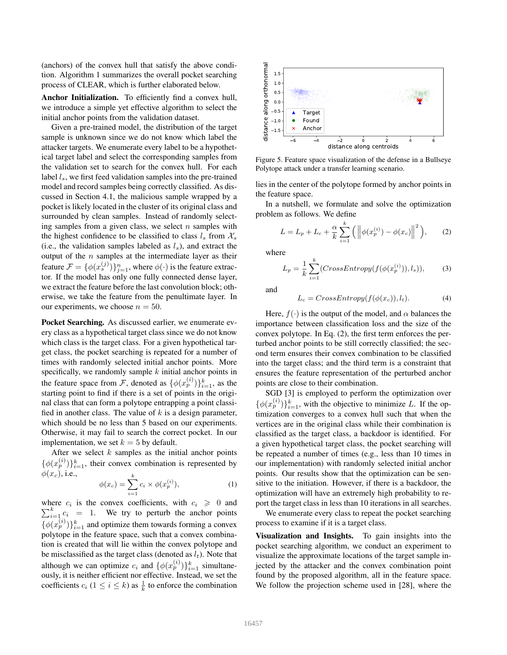(anchors) of the convex hull that satisfy the above condition. Algorithm 1 summarizes the overall pocket searching process of CLEAR, which is further elaborated below.

Anchor Initialization. To efficiently find a convex hull, we introduce a simple yet effective algorithm to select the initial anchor points from the validation dataset.

Given a pre-trained model, the distribution of the target sample is unknown since we do not know which label the attacker targets. We enumerate every label to be a hypothetical target label and select the corresponding samples from the validation set to search for the convex hull. For each label  $l_s$ , we first feed validation samples into the pre-trained model and record samples being correctly classified. As discussed in Section 4.1, the malicious sample wrapped by a pocket is likely located in the cluster of its original class and surrounded by clean samples. Instead of randomly selecting samples from a given class, we select  $n$  samples with the highest confidence to be classified to class  $l_s$  from  $\mathcal{X}_s$ (i.e., the validation samples labeled as  $l_s$ ), and extract the output of the  $n$  samples at the intermediate layer as their feature  $\mathcal{F} = \{ \phi(x_s^{(j)}) \}_{j=1}^n$ , where  $\phi(\cdot)$  is the feature extractor. If the model has only one fully connected dense layer, we extract the feature before the last convolution block; otherwise, we take the feature from the penultimate layer. In our experiments, we choose  $n = 50$ .

Pocket Searching. As discussed earlier, we enumerate every class as a hypothetical target class since we do not know which class is the target class. For a given hypothetical target class, the pocket searching is repeated for a number of times with randomly selected initial anchor points. More specifically, we randomly sample  $k$  initial anchor points in the feature space from F, denoted as  $\{\phi(x_p^{(i)})\}_{i=1}^k$ , as the starting point to find if there is a set of points in the original class that can form a polytope entrapping a point classified in another class. The value of  $k$  is a design parameter, which should be no less than 5 based on our experiments. Otherwise, it may fail to search the correct pocket. In our implementation, we set  $k = 5$  by default.

After we select  $k$  samples as the initial anchor points  $\{\phi(x_p^{(i)})\}_{i=1}^k$ , their convex combination is represented by  $\phi(x_c)$ , i.e.,

$$
\phi(x_c) = \sum_{i=1}^{k} c_i \times \phi(x_p^{(i)}),\tag{1}
$$

where  $c_i$  is the convex coefficients, with  $c_i \geq 0$  and  $\sum_{i=1}^{k} c_i = 1$ . We try to perturb the anchor points  $\{\phi(x_p^{(i)})\}_{i=1}^k$  and optimize them towards forming a convex polytope in the feature space, such that a convex combination is created that will lie within the convex polytope and be misclassified as the target class (denoted as  $l_t$ ). Note that although we can optimize  $c_i$  and  $\{\phi(x_p^{(i)})\}_{i=1}^k$  simultaneously, it is neither efficient nor effective. Instead, we set the coefficients  $c_i$  ( $1 \le i \le k$ ) as  $\frac{1}{k}$  to enforce the combination



Figure 5. Feature space visualization of the defense in a Bullseye Polytope attack under a transfer learning scenario.

lies in the center of the polytope formed by anchor points in the feature space.

In a nutshell, we formulate and solve the optimization problem as follows. We define

$$
L = L_p + L_c + \frac{\alpha}{k} \sum_{i=1}^{k} (||\phi(x_p^{(i)}) - \phi(x_c)||^2),
$$
 (2)

where

$$
L_p = \frac{1}{k} \sum_{i=1}^{k} (CrossEntropy(f(\phi(x_p^{(i)})), l_s)), \qquad (3)
$$

and

$$
L_c = CrossEntropy(f(\phi(x_c)), l_t). \tag{4}
$$

Here,  $f(\cdot)$  is the output of the model, and  $\alpha$  balances the importance between classification loss and the size of the convex polytope. In Eq. (2), the first term enforces the perturbed anchor points to be still correctly classified; the second term ensures their convex combination to be classified into the target class; and the third term is a constraint that ensures the feature representation of the perturbed anchor points are close to their combination.

SGD [3] is employed to perform the optimization over  $\{\phi(x_p^{(i)})\}_{i=1}^k$ , with the objective to minimize L. If the optimization converges to a convex hull such that when the vertices are in the original class while their combination is classified as the target class, a backdoor is identified. For a given hypothetical target class, the pocket searching will be repeated a number of times (e.g., less than 10 times in our implementation) with randomly selected initial anchor points. Our results show that the optimization can be sensitive to the initiation. However, if there is a backdoor, the optimization will have an extremely high probability to report the target class in less than 10 iterations in all searches.

We enumerate every class to repeat the pocket searching process to examine if it is a target class.

Visualization and Insights. To gain insights into the pocket searching algorithm, we conduct an experiment to visualize the approximate locations of the target sample injected by the attacker and the convex combination point found by the proposed algorithm, all in the feature space. We follow the projection scheme used in [28], where the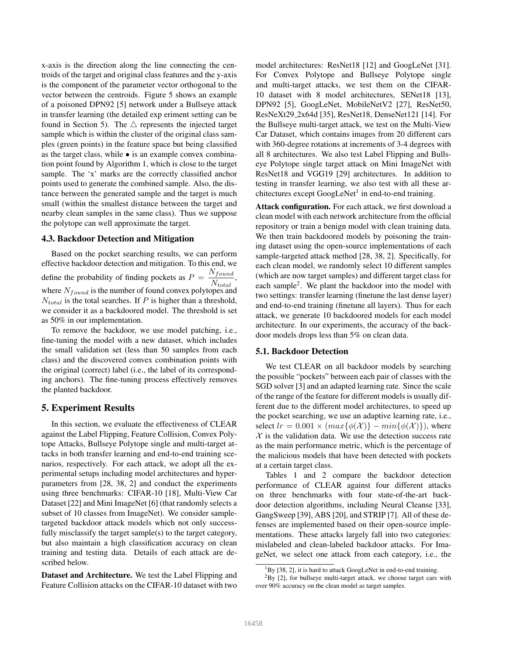x-axis is the direction along the line connecting the centroids of the target and original class features and the y-axis is the component of the parameter vector orthogonal to the vector between the centroids. Figure 5 shows an example of a poisoned DPN92 [5] network under a Bullseye attack in transfer learning (the detailed exp eriment setting can be found in Section 5). The  $\triangle$  represents the injected target sample which is within the cluster of the original class samples (green points) in the feature space but being classified as the target class, while  $\bullet$  is an example convex combination point found by Algorithm 1, which is close to the target sample. The 'x' marks are the correctly classified anchor points used to generate the combined sample. Also, the distance between the generated sample and the target is much small (within the smallest distance between the target and nearby clean samples in the same class). Thus we suppose the polytope can well approximate the target.

#### 4.3. Backdoor Detection and Mitigation

Based on the pocket searching results, we can perform effective backdoor detection and mitigation. To this end, we define the probability of finding pockets as  $P = \frac{N_{found}}{N}$ ,  $N_{total}$ where  $N_{found}$  is the number of found convex polytopes and  $N_{total}$  is the total searches. If P is higher than a threshold, we consider it as a backdoored model. The threshold is set as 50% in our implementation.

To remove the backdoor, we use model patching, i.e., fine-tuning the model with a new dataset, which includes the small validation set (less than 50 samples from each class) and the discovered convex combination points with the original (correct) label (i.e., the label of its corresponding anchors). The fine-tuning process effectively removes the planted backdoor.

#### 5. Experiment Results

In this section, we evaluate the effectiveness of CLEAR against the Label Flipping, Feature Collision, Convex Polytope Attacks, Bullseye Polytope single and multi-target attacks in both transfer learning and end-to-end training scenarios, respectively. For each attack, we adopt all the experimental setups including model architectures and hyperparameters from [28, 38, 2] and conduct the experiments using three benchmarks: CIFAR-10 [18], Multi-View Car Dataset [22] and Mini ImageNet [6] (that randomly selects a subset of 10 classes from ImageNet). We consider sampletargeted backdoor attack models which not only successfully misclassify the target sample(s) to the target category, but also maintain a high classification accuracy on clean training and testing data. Details of each attack are described below.

Dataset and Architecture. We test the Label Flipping and Feature Collision attacks on the CIFAR-10 dataset with two model architectures: ResNet18 [12] and GoogLeNet [31]. For Convex Polytope and Bullseye Polytope single and multi-target attacks, we test them on the CIFAR-10 dataset with 8 model architectures, SENet18 [13], DPN92 [5], GoogLeNet, MobileNetV2 [27], ResNet50, ResNeXt29 2x64d [35], ResNet18, DenseNet121 [14]. For the Bullseye multi-target attack, we test on the Multi-View Car Dataset, which contains images from 20 different cars with 360-degree rotations at increments of 3-4 degrees with all 8 architectures. We also test Label Flipping and Bullseye Polytope single target attack on Mini ImageNet with ResNet18 and VGG19 [29] architectures. In addition to testing in transfer learning, we also test with all these architectures except GoogLeNet<sup>1</sup> in end-to-end training.

Attack configuration. For each attack, we first download a clean model with each network architecture from the official repository or train a benign model with clean training data. We then train backdoored models by poisoning the training dataset using the open-source implementations of each sample-targeted attack method [28, 38, 2]. Specifically, for each clean model, we randomly select 10 different samples (which are now target samples) and different target class for each sample<sup>2</sup>. We plant the backdoor into the model with two settings: transfer learning (finetune the last dense layer) and end-to-end training (finetune all layers). Thus for each attack, we generate 10 backdoored models for each model architecture. In our experiments, the accuracy of the backdoor models drops less than 5% on clean data.

#### 5.1. Backdoor Detection

We test CLEAR on all backdoor models by searching the possible "pockets" between each pair of classes with the SGD solver [3] and an adapted learning rate. Since the scale of the range of the feature for different models is usually different due to the different model architectures, to speed up the pocket searching, we use an adaptive learning rate, i.e., select  $lr = 0.001 \times (max\{\phi(\mathcal{X})\} - min\{\phi(\mathcal{X})\})$ , where  $X$  is the validation data. We use the detection success rate as the main performance metric, which is the percentage of the malicious models that have been detected with pockets at a certain target class.

Tables 1 and 2 compare the backdoor detection performance of CLEAR against four different attacks on three benchmarks with four state-of-the-art backdoor detection algorithms, including Neural Cleanse [33], GangSweep [39], ABS [20], and STRIP [7]. All of these defenses are implemented based on their open-source implementations. These attacks largely fall into two categories: mislabeled and clean-labeled backdoor attacks. For ImageNet, we select one attack from each category, i.e., the

<sup>&</sup>lt;sup>1</sup>By [38, 2], it is hard to attack GoogLeNet in end-to-end training.

 ${}^{2}$ By [2], for bullseye multi-target attack, we choose target cars with over 90% accuracy on the clean model as target samples.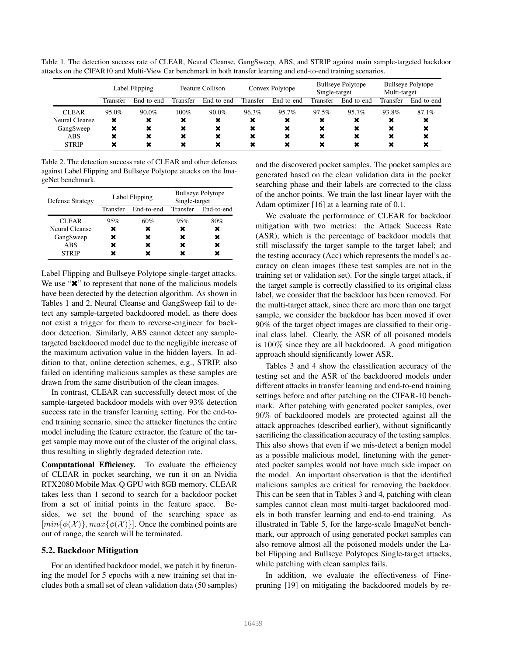Table 1. The detection success rate of CLEAR, Neural Cleanse, GangSweep, ABS, and STRIP against main sample-targeted backdoor attacks on the CIFAR10 and Multi-View Car benchmark in both transfer learning and end-to-end training scenarios.

|                | Label Flipping |                | <b>Feature Collison</b> |            | Convex Polytope           |            | <b>Bullseye Polytope</b><br>Single-target |            | <b>Bullseye Polytope</b><br>Multi-target |            |
|----------------|----------------|----------------|-------------------------|------------|---------------------------|------------|-------------------------------------------|------------|------------------------------------------|------------|
|                | Transfer       | End-to-end     | Transfer                | End-to-end | Transfer                  | End-to-end | Transfer                                  | End-to-end | Transfer                                 | End-to-end |
| <b>CLEAR</b>   | 95.0%          | $90.0\%$       | 100%                    | $90.0\%$   | 96.3%                     | 95.7%      | 97.5%                                     | 95.7%      | 93.8%                                    | $87.1\%$   |
| Neural Cleanse | ×              | ×              | ×                       | ×          | ×                         | ×          | ×                                         | ×          | $\pmb{\times}$                           | ×          |
| GangSweep      | ×              | $\pmb{\times}$ | ×                       | ×          | ×                         | ×          | ×                                         | ×          | ×                                        | ×          |
| ABS            | ×              | $\pmb{\times}$ | ×                       | ×          | $\boldsymbol{\mathsf{x}}$ | ×          | $\boldsymbol{\mathsf{x}}$                 | ×          | $\boldsymbol{\mathsf{x}}$                | ×          |
| <b>STRIP</b>   | ×              |                | ×                       | ×          | $\boldsymbol{\mathsf{x}}$ | ×          | ×                                         | ×          |                                          | ×          |

Table 2. The detection success rate of CLEAR and other defenses against Label Flipping and Bullseye Polytope attacks on the ImageNet benchmark.

| <b>Defense Strategy</b> |          | Label Flipping | <b>Bullseye Polytope</b><br>Single-target |                     |  |  |
|-------------------------|----------|----------------|-------------------------------------------|---------------------|--|--|
|                         | Transfer | End-to-end     |                                           | Transfer End-to-end |  |  |
| <b>CLEAR</b>            | 95%      | 60%            | 95%                                       | 80%                 |  |  |
| Neural Cleanse          | x        | ×              | ×                                         | ×                   |  |  |
| GangSweep               | x        | ×              | ×                                         | ×                   |  |  |
| ABS                     |          | ×              | ×                                         | ×                   |  |  |
| <b>STRIP</b>            |          |                |                                           |                     |  |  |

Label Flipping and Bullseye Polytope single-target attacks. We use " $\mathbf{x}$ " to represent that none of the malicious models have been detected by the detection algorithm. As shown in Tables 1 and 2, Neural Cleanse and GangSweep fail to detect any sample-targeted backdoored model, as there does not exist a trigger for them to reverse-engineer for backdoor detection. Similarly, ABS cannot detect any sampletargeted backdoored model due to the negligible increase of the maximum activation value in the hidden layers. In addition to that, online detection schemes, e.g., STRIP, also failed on identifing malicious samples as these samples are drawn from the same distribution of the clean images.

In contrast, CLEAR can successfully detect most of the sample-targeted backdoor models with over 93% detection success rate in the transfer learning setting. For the end-toend training scenario, since the attacker finetunes the entire model including the feature extractor, the feature of the target sample may move out of the cluster of the original class, thus resulting in slightly degraded detection rate.

Computational Efficiency. To evaluate the efficiency of CLEAR in pocket searching, we run it on an Nvidia RTX2080 Mobile Max-Q GPU with 8GB memory. CLEAR takes less than 1 second to search for a backdoor pocket from a set of initial points in the feature space. Besides, we set the bound of the searching space as  $[\min{\{\phi(X)\}}, \max{\{\phi(X)\}}]$ . Once the combined points are out of range, the search will be terminated.

### 5.2. Backdoor Mitigation

For an identified backdoor model, we patch it by finetuning the model for 5 epochs with a new training set that includes both a small set of clean validation data (50 samples) and the discovered pocket samples. The pocket samples are generated based on the clean validation data in the pocket searching phase and their labels are corrected to the class of the anchor points. We train the last linear layer with the Adam optimizer [16] at a learning rate of 0.1.

We evaluate the performance of CLEAR for backdoor mitigation with two metrics: the Attack Success Rate (ASR), which is the percentage of backdoor models that still misclassify the target sample to the target label; and the testing accuracy (Acc) which represents the model's accuracy on clean images (these test samples are not in the training set or validation set). For the single target attack, if the target sample is correctly classified to its original class label, we consider that the backdoor has been removed. For the multi-target attack, since there are more than one target sample, we consider the backdoor has been moved if over 90% of the target object images are classified to their original class label. Clearly, the ASR of all poisoned models is 100% since they are all backdoored. A good mitigation approach should significantly lower ASR.

Tables 3 and 4 show the classification accuracy of the testing set and the ASR of the backdoored models under different attacks in transfer learning and end-to-end training settings before and after patching on the CIFAR-10 benchmark. After patching with generated pocket samples, over 90% of backdoored models are protected against all the attack approaches (described earlier), without significantly sacrificing the classification accuracy of the testing samples. This also shows that even if we mis-detect a benign model as a possible malicious model, finetuning with the generated pocket samples would not have much side impact on the model. An important observation is that the identified malicious samples are critical for removing the backdoor. This can be seen that in Tables 3 and 4, patching with clean samples cannot clean most multi-target backdoored models in both transfer learning and end-to-end training. As illustrated in Table 5, for the large-scale ImageNet benchmark, our approach of using generated pocket samples can also remove almost all the poisoned models under the Label Flipping and Bullseye Polytopes Single-target attacks, while patching with clean samples fails.

In addition, we evaluate the effectiveness of Finepruning [19] on mitigating the backdoored models by re-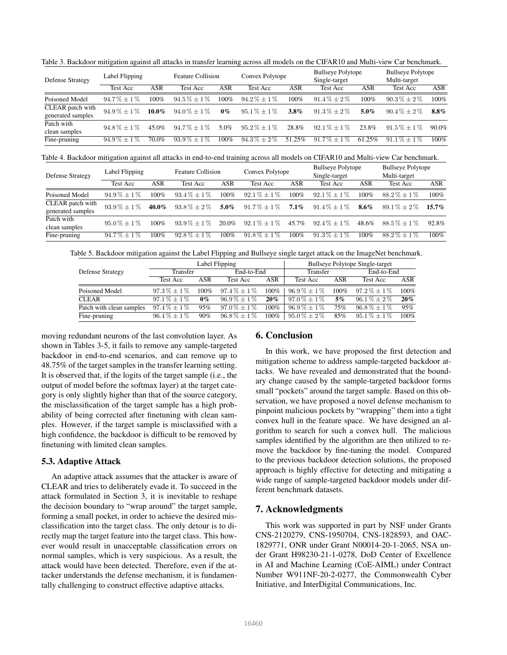| <b>Defense Strategy</b>               | Label Flipping |          | <b>Feature Collision</b> |         | Convex Polytope  |         | <b>Bullseye Polytope</b><br>Single-target |         | <b>Bullseye Polytope</b><br>Multi-target |            |
|---------------------------------------|----------------|----------|--------------------------|---------|------------------|---------|-------------------------------------------|---------|------------------------------------------|------------|
|                                       | Test Acc       | ASR      | Test Acc                 | ASR     | Test Acc         | ASR     | Test Acc                                  | ASR     | Test Acc                                 | <b>ASR</b> |
| Poisoned Model                        | $94.7\% + 1\%$ | $100\%$  | $94.5\% + 1\%$           | 100%    | $94.2\% + 1\%$   | 100%    | $91.4\% + 2\%$                            | $100\%$ | $90.3\% \pm 2\%$                         | 100%       |
| CLEAR patch with<br>generated samples | $94.9\% + 1\%$ | $10.0\%$ | $94.0\% + 1\%$           | $0\%$   | $95.1\% + 1\%$   | $3.8\%$ | $91.3\% + 2\%$                            | $5.0\%$ | $90.4\% + 2\%$                           | $8.8\%$    |
| Patch with<br>clean samples           | $94.8\% + 1\%$ | 45.0%    | $94.7\% + 1\%$           | 5.0%    | $95.2\% + 1\%$   | 28.8%   | $92.1\% + 1\%$                            | 23.8%   | $91.5\% + 1\%$                           | 90.0%      |
| Fine-pruning                          | $94.9\% + 1\%$ | 70.0%    | $93.9\% + 1\%$           | $100\%$ | $94.3\% \pm 2\%$ | 51.25%  | $91.7\% + 1\%$                            | 61.25%  | $91.1\% + 1\%$                           | $100\%$    |

Table 3. Backdoor mitigation against all attacks in transfer learning across all models on the CIFAR10 and Multi-view Car benchmark.

Table 4. Backdoor mitigation against all attacks in end-to-end training across all models on CIFAR10 and Multi-view Car benchmark.

| <b>Defense Strategy</b>               | Label Flipping   |            | <b>Feature Collision</b> |         | Convex Polytope  |         | <b>Bullseye Polytope</b><br>Single-target |         | <b>Bullseye Polytope</b><br>Multi-target |            |
|---------------------------------------|------------------|------------|--------------------------|---------|------------------|---------|-------------------------------------------|---------|------------------------------------------|------------|
|                                       | <b>Test Acc</b>  | <b>ASR</b> | Test Acc                 | ASR     | Test Acc         | ASR     | <b>Test Acc</b>                           | ASR     | <b>Test Acc</b>                          | <b>ASR</b> |
| Poisoned Model                        | $94.9\% \pm 1\%$ | $100\%$    | $93.4\% + 1\%$           | $100\%$ | $92.1\% \pm 1\%$ | 100%    | $92.1\% + 1\%$                            | $100\%$ | $88.2\% \pm 1\%$                         | 100%       |
| CLEAR patch with<br>generated samples | $93.9\% + 1\%$   | $40.0\%$   | $93.8\% + 2\%$           | $5.0\%$ | $91.7\% + 1\%$   | $7.1\%$ | $91.4\% + 1\%$                            | $8.6\%$ | $89.1\% + 2\%$                           | $15.7\%$   |
| Patch with<br>clean samples           | $95.0\% + 1\%$   | $100\%$    | $93.9\% + 1\%$           | 20.0%   | $92.1\% \pm 1\%$ | 45.7%   | $92.4\% + 1\%$                            | 48.6%   | $88.5\% + 1\%$                           | 92.8%      |
| Fine-pruning                          | $94.7\% + 1\%$   | $100\%$    | $92.8\% + 1\%$           | $100\%$ | $91.8\% + 1\%$   | 100%    | $91.3\% + 1\%$                            | $100\%$ | $88.2\% + 1\%$                           | $100\%$    |

Table 5. Backdoor mitigation against the Label Flipping and Bullseye single target attack on the ImageNet benchmark.

|                          |                  |         | Label Flipping   | <b>Bullseye Polytope Single-target</b> |                  |         |                  |            |
|--------------------------|------------------|---------|------------------|----------------------------------------|------------------|---------|------------------|------------|
| <b>Defense Strategy</b>  | Transfer         |         | End-to-End       |                                        | Transfer         |         | End-to-End       |            |
|                          | Test Acc         | ASR     | Test Acc         | ASR                                    | Test Acc         | ASR     | <b>Test Acc</b>  | <b>ASR</b> |
| Poisoned Model           | $97.3\% \pm 1\%$ | $100\%$ | $97.4\% \pm 1\%$ | 100%                                   | $96.9\% \pm 1\%$ | $100\%$ | $97.2\% \pm 1\%$ | $100\%$    |
| <b>CLEAR</b>             | $97.1\% \pm 1\%$ | $0\%$   | $96.9\% \pm 1\%$ | 20%                                    | $97.0\% \pm 1\%$ | 5%      | $96.1\% \pm 2\%$ | 20%        |
| Patch with clean samples | $97.4\% \pm 1\%$ | 95%     | $97.0\% \pm 1\%$ | $100\%$                                | $96.9\% \pm 1\%$ | 75%     | $96.8\% \pm 1\%$ | 95%        |
| Fine-pruning             | $96.4\% \pm 1\%$ | 90%     | $96.8\% \pm 1\%$ | $100\%$                                | $95.0\% \pm 2\%$ | 85%     | $95.1\% \pm 1\%$ | 100%       |

moving redundant neurons of the last convolution layer. As shown in Tables 3-5, it fails to remove any sample-targeted backdoor in end-to-end scenarios, and can remove up to 48.75% of the target samples in the transfer learning setting. It is observed that, if the logits of the target sample (i.e., the output of model before the softmax layer) at the target category is only slightly higher than that of the source category, the misclassification of the target sample has a high probability of being corrected after finetuning with clean samples. However, if the target sample is misclassified with a high confidence, the backdoor is difficult to be removed by finetuning with limited clean samples.

## 5.3. Adaptive Attack

An adaptive attack assumes that the attacker is aware of CLEAR and tries to deliberately evade it. To succeed in the attack formulated in Section 3, it is inevitable to reshape the decision boundary to "wrap around" the target sample, forming a small pocket, in order to achieve the desired misclassification into the target class. The only detour is to directly map the target feature into the target class. This however would result in unacceptable classification errors on normal samples, which is very suspicious. As a result, the attack would have been detected. Therefore, even if the attacker understands the defense mechanism, it is fundamentally challenging to construct effective adaptive attacks.

## 6. Conclusion

In this work, we have proposed the first detection and mitigation scheme to address sample-targeted backdoor attacks. We have revealed and demonstrated that the boundary change caused by the sample-targeted backdoor forms small "pockets" around the target sample. Based on this observation, we have proposed a novel defense mechanism to pinpoint malicious pockets by "wrapping" them into a tight convex hull in the feature space. We have designed an algorithm to search for such a convex hull. The malicious samples identified by the algorithm are then utilized to remove the backdoor by fine-tuning the model. Compared to the previous backdoor detection solutions, the proposed approach is highly effective for detecting and mitigating a wide range of sample-targeted backdoor models under different benchmark datasets.

## 7. Acknowledgments

This work was supported in part by NSF under Grants CNS-2120279, CNS-1950704, CNS-1828593, and OAC-1829771, ONR under Grant N00014-20-1-2065, NSA under Grant H98230-21-1-0278, DoD Center of Excellence in AI and Machine Learning (CoE-AIML) under Contract Number W911NF-20-2-0277, the Commonwealth Cyber Initiative, and InterDigital Communications, Inc.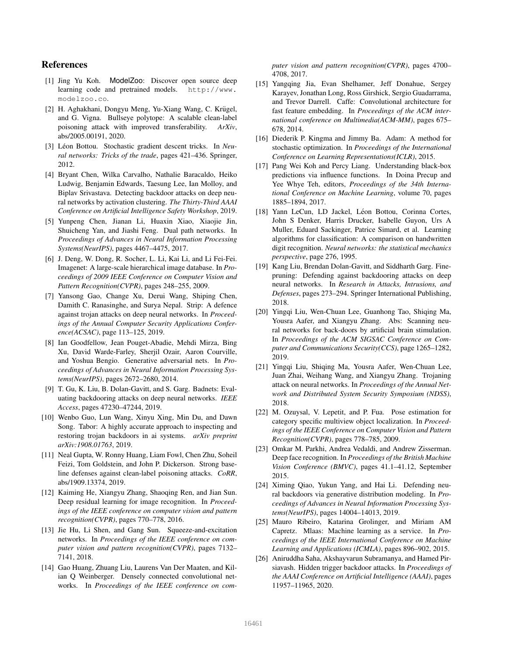## References

- [1] Jing Yu Koh. ModelZoo: Discover open source deep learning code and pretrained models. http://www. modelzoo.co.
- [2] H. Aghakhani, Dongyu Meng, Yu-Xiang Wang, C. Krügel, and G. Vigna. Bullseye polytope: A scalable clean-label poisoning attack with improved transferability. *ArXiv*, abs/2005.00191, 2020.
- [3] Léon Bottou. Stochastic gradient descent tricks. In *Neural networks: Tricks of the trade*, pages 421–436. Springer, 2012.
- [4] Bryant Chen, Wilka Carvalho, Nathalie Baracaldo, Heiko Ludwig, Benjamin Edwards, Taesung Lee, Ian Molloy, and Biplav Srivastava. Detecting backdoor attacks on deep neural networks by activation clustering. *The Thirty-Third AAAI Conference on Artificial Intelligence Safety Workshop*, 2019.
- [5] Yunpeng Chen, Jianan Li, Huaxin Xiao, Xiaojie Jin, Shuicheng Yan, and Jiashi Feng. Dual path networks. In *Proceedings of Advances in Neural Information Processing Systems(NeurIPS)*, pages 4467–4475, 2017.
- [6] J. Deng, W. Dong, R. Socher, L. Li, Kai Li, and Li Fei-Fei. Imagenet: A large-scale hierarchical image database. In *Proceedings of 2009 IEEE Conference on Computer Vision and Pattern Recognition(CVPR)*, pages 248–255, 2009.
- [7] Yansong Gao, Change Xu, Derui Wang, Shiping Chen, Damith C. Ranasinghe, and Surya Nepal. Strip: A defence against trojan attacks on deep neural networks. In *Proceedings of the Annual Computer Security Applications Conference(ACSAC)*, page 113–125, 2019.
- [8] Ian Goodfellow, Jean Pouget-Abadie, Mehdi Mirza, Bing Xu, David Warde-Farley, Sherjil Ozair, Aaron Courville, and Yoshua Bengio. Generative adversarial nets. In *Proceedings of Advances in Neural Information Processing Systems(NeurIPS)*, pages 2672–2680, 2014.
- [9] T. Gu, K. Liu, B. Dolan-Gavitt, and S. Garg. Badnets: Evaluating backdooring attacks on deep neural networks. *IEEE Access*, pages 47230–47244, 2019.
- [10] Wenbo Guo, Lun Wang, Xinyu Xing, Min Du, and Dawn Song. Tabor: A highly accurate approach to inspecting and restoring trojan backdoors in ai systems. *arXiv preprint arXiv:1908.01763*, 2019.
- [11] Neal Gupta, W. Ronny Huang, Liam Fowl, Chen Zhu, Soheil Feizi, Tom Goldstein, and John P. Dickerson. Strong baseline defenses against clean-label poisoning attacks. *CoRR*, abs/1909.13374, 2019.
- [12] Kaiming He, Xiangyu Zhang, Shaoqing Ren, and Jian Sun. Deep residual learning for image recognition. In *Proceedings of the IEEE conference on computer vision and pattern recognition(CVPR)*, pages 770–778, 2016.
- [13] Jie Hu, Li Shen, and Gang Sun. Squeeze-and-excitation networks. In *Proceedings of the IEEE conference on computer vision and pattern recognition(CVPR)*, pages 7132– 7141, 2018.
- [14] Gao Huang, Zhuang Liu, Laurens Van Der Maaten, and Kilian Q Weinberger. Densely connected convolutional networks. In *Proceedings of the IEEE conference on com-*

*puter vision and pattern recognition(CVPR)*, pages 4700– 4708, 2017.

- [15] Yangqing Jia, Evan Shelhamer, Jeff Donahue, Sergey Karayev, Jonathan Long, Ross Girshick, Sergio Guadarrama, and Trevor Darrell. Caffe: Convolutional architecture for fast feature embedding. In *Proceedings of the ACM international conference on Multimedia(ACM-MM)*, pages 675– 678, 2014.
- [16] Diederik P. Kingma and Jimmy Ba. Adam: A method for stochastic optimization. In *Proceedings of the International Conference on Learning Representations(ICLR)*, 2015.
- [17] Pang Wei Koh and Percy Liang. Understanding black-box predictions via influence functions. In Doina Precup and Yee Whye Teh, editors, *Proceedings of the 34th International Conference on Machine Learning*, volume 70, pages 1885–1894, 2017.
- [18] Yann LeCun, LD Jackel, Léon Bottou, Corinna Cortes, John S Denker, Harris Drucker, Isabelle Guyon, Urs A Muller, Eduard Sackinger, Patrice Simard, et al. Learning algorithms for classification: A comparison on handwritten digit recognition. *Neural networks: the statistical mechanics perspective*, page 276, 1995.
- [19] Kang Liu, Brendan Dolan-Gavitt, and Siddharth Garg. Finepruning: Defending against backdooring attacks on deep neural networks. In *Research in Attacks, Intrusions, and Defenses*, pages 273–294. Springer International Publishing, 2018.
- [20] Yingqi Liu, Wen-Chuan Lee, Guanhong Tao, Shiqing Ma, Yousra Aafer, and Xiangyu Zhang. Abs: Scanning neural networks for back-doors by artificial brain stimulation. In *Proceedings of the ACM SIGSAC Conference on Computer and Communications Security(CCS)*, page 1265–1282, 2019.
- [21] Yingqi Liu, Shiqing Ma, Yousra Aafer, Wen-Chuan Lee, Juan Zhai, Weihang Wang, and Xiangyu Zhang. Trojaning attack on neural networks. In *Proceedings of the Annual Network and Distributed System Security Symposium (NDSS)*, 2018.
- [22] M. Ozuysal, V. Lepetit, and P. Fua. Pose estimation for category specific multiview object localization. In *Proceedings of the IEEE Conference on Computer Vision and Pattern Recognition(CVPR)*, pages 778–785, 2009.
- [23] Omkar M. Parkhi, Andrea Vedaldi, and Andrew Zisserman. Deep face recognition. In *Proceedings of the British Machine Vision Conference (BMVC)*, pages 41.1–41.12, September 2015.
- [24] Ximing Qiao, Yukun Yang, and Hai Li. Defending neural backdoors via generative distribution modeling. In *Proceedings of Advances in Neural Information Processing Systems(NeurIPS)*, pages 14004–14013, 2019.
- [25] Mauro Ribeiro, Katarina Grolinger, and Miriam AM Capretz. Mlaas: Machine learning as a service. In *Proceedings of the IEEE International Conference on Machine Learning and Applications (ICMLA)*, pages 896–902, 2015.
- [26] Aniruddha Saha, Akshayvarun Subramanya, and Hamed Pirsiavash. Hidden trigger backdoor attacks. In *Proceedings of the AAAI Conference on Artificial Intelligence (AAAI)*, pages 11957–11965, 2020.